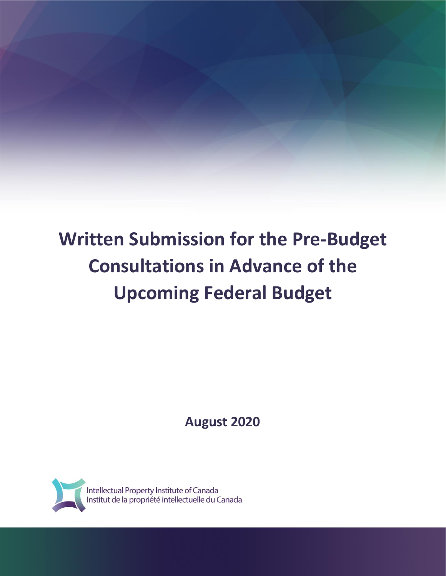# **Written Submission for the Pre-Budget Consultations in Advance of the Upcoming Federal Budget**

**August 2020**

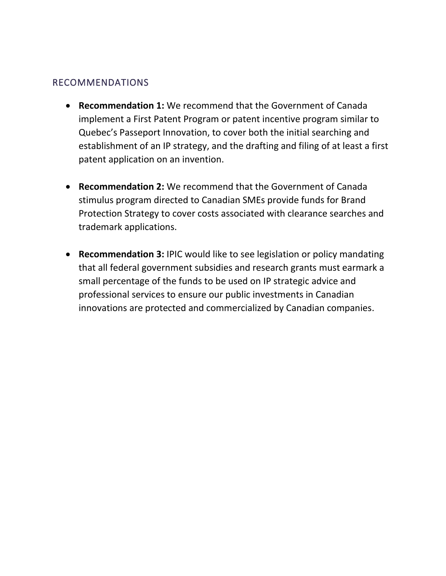### RECOMMENDATIONS

- **Recommendation 1:** We recommend that the Government of Canada implement a First Patent Program or patent incentive program similar to Quebec's Passeport Innovation, to cover both the initial searching and establishment of an IP strategy, and the drafting and filing of at least a first patent application on an invention.
- **Recommendation 2:** We recommend that the Government of Canada stimulus program directed to Canadian SMEs provide funds for Brand Protection Strategy to cover costs associated with clearance searches and trademark applications.
- **Recommendation 3:** IPIC would like to see legislation or policy mandating that all federal government subsidies and research grants must earmark a small percentage of the funds to be used on IP strategic advice and professional services to ensure our public investments in Canadian innovations are protected and commercialized by Canadian companies.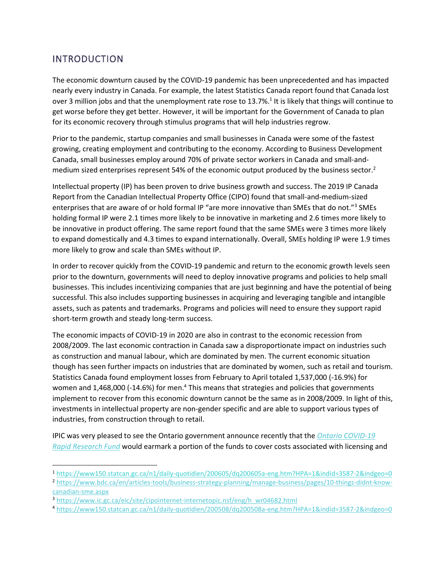## INTRODUCTION

The economic downturn caused by the COVID-19 pandemic has been unprecedented and has impacted nearly every industry in Canada. For example, the latest Statistics Canada report found that Canada lost over 3 million jobs and that the unemployment rate rose to 13.7%.<sup>1</sup> It is likely that things will continue to get worse before they get better. However, it will be important for the Government of Canada to plan for its economic recovery through stimulus programs that will help industries regrow.

Prior to the pandemic, startup companies and small businesses in Canada were some of the fastest growing, creating employment and contributing to the economy. According to Business Development Canada, small businesses employ around 70% of private sector workers in Canada and small-andmedium sized enterprises represent 54% of the economic output produced by the business sector.<sup>2</sup>

Intellectual property (IP) has been proven to drive business growth and success. The 2019 IP Canada Report from the Canadian Intellectual Property Office (CIPO) found that small-and-medium-sized enterprises that are aware of or hold formal IP "are more innovative than SMEs that do not."<sup>3</sup> SMEs holding formal IP were 2.1 times more likely to be innovative in marketing and 2.6 times more likely to be innovative in product offering. The same report found that the same SMEs were 3 times more likely to expand domestically and 4.3 times to expand internationally. Overall, SMEs holding IP were 1.9 times more likely to grow and scale than SMEs without IP.

In order to recover quickly from the COVID-19 pandemic and return to the economic growth levels seen prior to the downturn, governments will need to deploy innovative programs and policies to help small businesses. This includes incentivizing companies that are just beginning and have the potential of being successful. This also includes supporting businesses in acquiring and leveraging tangible and intangible assets, such as patents and trademarks. Programs and policies will need to ensure they support rapid short-term growth and steady long-term success.

The economic impacts of COVID-19 in 2020 are also in contrast to the economic recession from 2008/2009. The last economic contraction in Canada saw a disproportionate impact on industries such as construction and manual labour, which are dominated by men. The current economic situation though has seen further impacts on industries that are dominated by women, such as retail and tourism. Statistics Canada found employment losses from February to April totaled 1,537,000 (-16.9%) for women and 1,468,000 (-14.6%) for men.<sup>4</sup> This means that strategies and policies that governments implement to recover from this economic downturn cannot be the same as in 2008/2009. In light of this, investments in intellectual property are non-gender specific and are able to support various types of industries, from construction through to retail.

IPIC was very pleased to see the Ontario government announce recently that the *[Ontario COVID-19](https://www.ontario.ca/page/ontario-covid-19-rapid-research-fund)  [Rapid Research Fund](https://www.ontario.ca/page/ontario-covid-19-rapid-research-fund)* would earmark a portion of the funds to cover costs associated with licensing and

<sup>1</sup> <https://www150.statcan.gc.ca/n1/daily-quotidien/200605/dq200605a-eng.htm?HPA=1&indid=3587-2&indgeo=0>

<sup>2</sup> [https://www.bdc.ca/en/articles-tools/business-strategy-planning/manage-business/pages/10-things-didnt-know](https://www.bdc.ca/en/articles-tools/business-strategy-planning/manage-business/pages/10-things-didnt-know-canadian-sme.aspx)[canadian-sme.aspx](https://www.bdc.ca/en/articles-tools/business-strategy-planning/manage-business/pages/10-things-didnt-know-canadian-sme.aspx)

<sup>3</sup> [https://www.ic.gc.ca/eic/site/cipointernet-internetopic.nsf/eng/h\\_wr04682.html](https://www.ic.gc.ca/eic/site/cipointernet-internetopic.nsf/eng/h_wr04682.html)

<sup>4</sup> <https://www150.statcan.gc.ca/n1/daily-quotidien/200508/dq200508a-eng.htm?HPA=1&indid=3587-2&indgeo=0>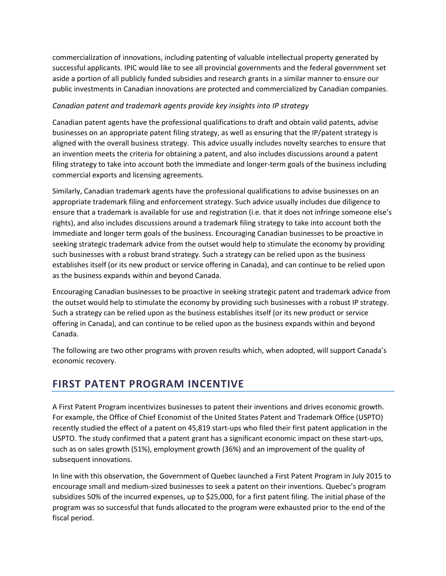commercialization of innovations, including patenting of valuable intellectual property generated by successful applicants. IPIC would like to see all provincial governments and the federal government set aside a portion of all publicly funded subsidies and research grants in a similar manner to ensure our public investments in Canadian innovations are protected and commercialized by Canadian companies.

#### *Canadian patent and trademark agents provide key insights into IP strategy*

Canadian patent agents have the professional qualifications to draft and obtain valid patents, advise businesses on an appropriate patent filing strategy, as well as ensuring that the IP/patent strategy is aligned with the overall business strategy. This advice usually includes novelty searches to ensure that an invention meets the criteria for obtaining a patent, and also includes discussions around a patent filing strategy to take into account both the immediate and longer-term goals of the business including commercial exports and licensing agreements.

Similarly, Canadian trademark agents have the professional qualifications to advise businesses on an appropriate trademark filing and enforcement strategy. Such advice usually includes due diligence to ensure that a trademark is available for use and registration (i.e. that it does not infringe someone else's rights), and also includes discussions around a trademark filing strategy to take into account both the immediate and longer term goals of the business. Encouraging Canadian businesses to be proactive in seeking strategic trademark advice from the outset would help to stimulate the economy by providing such businesses with a robust brand strategy. Such a strategy can be relied upon as the business establishes itself (or its new product or service offering in Canada), and can continue to be relied upon as the business expands within and beyond Canada.

Encouraging Canadian businesses to be proactive in seeking strategic patent and trademark advice from the outset would help to stimulate the economy by providing such businesses with a robust IP strategy. Such a strategy can be relied upon as the business establishes itself (or its new product or service offering in Canada), and can continue to be relied upon as the business expands within and beyond Canada.

The following are two other programs with proven results which, when adopted, will support Canada's economic recovery.

## **FIRST PATENT PROGRAM INCENTIVE**

A First Patent Program incentivizes businesses to patent their inventions and drives economic growth. For example, the Office of Chief Economist of the United States Patent and Trademark Office (USPTO) recently studied the effect of a patent on 45,819 start-ups who filed their first patent application in the USPTO. The study confirmed that a patent grant has a significant economic impact on these start-ups, such as on sales growth (51%), employment growth (36%) and an improvement of the quality of subsequent innovations.

In line with this observation, the Government of Quebec launched a First Patent Program in July 2015 to encourage small and medium-sized businesses to seek a patent on their inventions. Quebec's program subsidizes 50% of the incurred expenses, up to \$25,000, for a first patent filing. The initial phase of the program was so successful that funds allocated to the program were exhausted prior to the end of the fiscal period.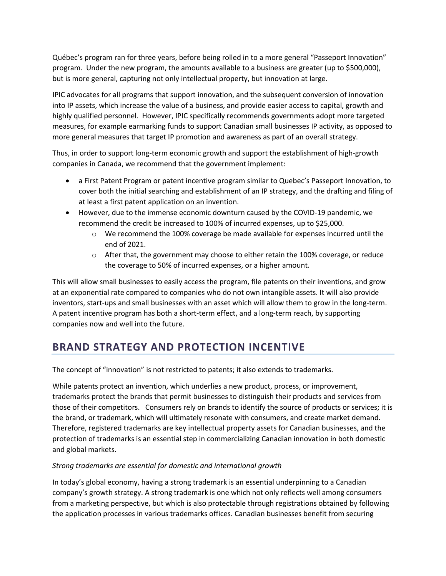Québec's program ran for three years, before being rolled in to a more general "Passeport Innovation" program. Under the new program, the amounts available to a business are greater (up to \$500,000), but is more general, capturing not only intellectual property, but innovation at large.

IPIC advocates for all programs that support innovation, and the subsequent conversion of innovation into IP assets, which increase the value of a business, and provide easier access to capital, growth and highly qualified personnel. However, IPIC specifically recommends governments adopt more targeted measures, for example earmarking funds to support Canadian small businesses IP activity, as opposed to more general measures that target IP promotion and awareness as part of an overall strategy.

Thus, in order to support long-term economic growth and support the establishment of high-growth companies in Canada, we recommend that the government implement:

- a First Patent Program or patent incentive program similar to Quebec's Passeport Innovation, to cover both the initial searching and establishment of an IP strategy, and the drafting and filing of at least a first patent application on an invention.
- However, due to the immense economic downturn caused by the COVID-19 pandemic, we recommend the credit be increased to 100% of incurred expenses, up to \$25,000.
	- $\circ$  We recommend the 100% coverage be made available for expenses incurred until the end of 2021.
	- $\circ$  After that, the government may choose to either retain the 100% coverage, or reduce the coverage to 50% of incurred expenses, or a higher amount.

This will allow small businesses to easily access the program, file patents on their inventions, and grow at an exponential rate compared to companies who do not own intangible assets. It will also provide inventors, start-ups and small businesses with an asset which will allow them to grow in the long-term. A patent incentive program has both a short-term effect, and a long-term reach, by supporting companies now and well into the future.

# **BRAND STRATEGY AND PROTECTION INCENTIVE**

The concept of "innovation" is not restricted to patents; it also extends to trademarks.

While patents protect an invention, which underlies a new product, process, or improvement, trademarks protect the brands that permit businesses to distinguish their products and services from those of their competitors. Consumers rely on brands to identify the source of products or services; it is the brand, or trademark, which will ultimately resonate with consumers, and create market demand. Therefore, registered trademarks are key intellectual property assets for Canadian businesses, and the protection of trademarks is an essential step in commercializing Canadian innovation in both domestic and global markets.

#### *Strong trademarks are essential for domestic and international growth*

In today's global economy, having a strong trademark is an essential underpinning to a Canadian company's growth strategy. A strong trademark is one which not only reflects well among consumers from a marketing perspective, but which is also protectable through registrations obtained by following the application processes in various trademarks offices. Canadian businesses benefit from securing